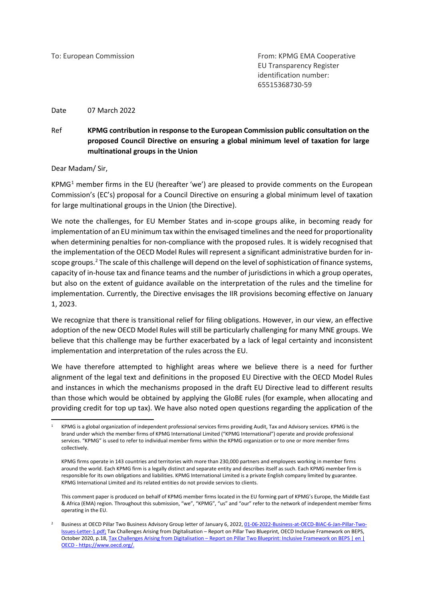To: European Commission From: KPMG EMA Cooperative EU Transparency Register identification number: 65515368730-59

Date 07 March 2022

#### Ref **KPMG contribution in response to the European Commission public consultation on the proposed Council Directive on ensuring a global minimum level of taxation for large multinational groups in the Union**

Dear Madam/ Sir,

KPMG<sup>[1](#page-0-0)</sup> member firms in the EU (hereafter 'we') are pleased to provide comments on the European Commission's (EC's) proposal for a Council Directive on ensuring a global minimum level of taxation for large multinational groups in the Union (the Directive).

We note the challenges, for EU Member States and in-scope groups alike, in becoming ready for implementation of an EU minimum tax within the envisaged timelines and the need for proportionality when determining penalties for non-compliance with the proposed rules. It is widely recognised that the implementation of the OECD Model Rules will represent a significant administrative burden for in-scope groups.<sup>[2](#page-0-1)</sup> The scale of this challenge will depend on the level of sophistication of finance systems, capacity of in-house tax and finance teams and the number of jurisdictions in which a group operates, but also on the extent of guidance available on the interpretation of the rules and the timeline for implementation. Currently, the Directive envisages the IIR provisions becoming effective on January 1, 2023.

We recognize that there is transitional relief for filing obligations. However, in our view, an effective adoption of the new OECD Model Rules will still be particularly challenging for many MNE groups. We believe that this challenge may be further exacerbated by a lack of legal certainty and inconsistent implementation and interpretation of the rules across the EU.

We have therefore attempted to highlight areas where we believe there is a need for further alignment of the legal text and definitions in the proposed EU Directive with the OECD Model Rules and instances in which the mechanisms proposed in the draft EU Directive lead to different results than those which would be obtained by applying the GloBE rules (for example, when allocating and providing credit for top up tax). We have also noted open questions regarding the application of the

<span id="page-0-0"></span><sup>1</sup> KPMG is a global organization of independent professional services firms providing Audit, Tax and Advisory services. KPMG is the brand under which the member firms of KPMG International Limited ("KPMG International") operate and provide professional services. "KPMG" is used to refer to individual member firms within the KPMG organization or to one or more member firms collectively.

KPMG firms operate in 143 countries and territories with more than 230,000 partners and employees working in member firms around the world. Each KPMG firm is a legally distinct and separate entity and describes itself as such. Each KPMG member firm is responsible for its own obligations and liabilities. KPMG International Limited is a private English company limited by guarantee. KPMG International Limited and its related entities do not provide services to clients.

This comment paper is produced on behalf of KPMG member firms located in the EU forming part of KPMG's Europe, the Middle East & Africa (EMA) region. Throughout this submission, "we", "KPMG", "us" and "our" refer to the network of independent member firms operating in the EU.

<span id="page-0-1"></span>Business at OECD Pillar Two Business Advisory Group letter of January 6, 2022[, 01-06-2022-Business-at-OECD-BIAC-6-Jan-Pillar-Two-](https://biac.org/wp-content/uploads/2022/01/01-06-2022-Business-at-OECD-BIAC-6-Jan-Pillar-Two-Issues-Letter-1.pdf)[Issues-Letter-1.pdf;](https://biac.org/wp-content/uploads/2022/01/01-06-2022-Business-at-OECD-BIAC-6-Jan-Pillar-Two-Issues-Letter-1.pdf) Tax Challenges Arising from Digitalisation – Report on Pillar Two Blueprint, OECD Inclusive Framework on BEPS, October 2020, p.18, Tax Challenges Arising from Digitalisation – [Report on Pillar Two Blueprint: Inclusive Framework on BEPS | en |](https://www.oecd.org/tax/beps/tax-challenges-arising-from-digitalisation-report-on-pillar-two-blueprint-abb4c3d1-en.htm)  OECD - [https://www.oecd.org/.](https://www.oecd.org/tax/beps/tax-challenges-arising-from-digitalisation-report-on-pillar-two-blueprint-abb4c3d1-en.htm)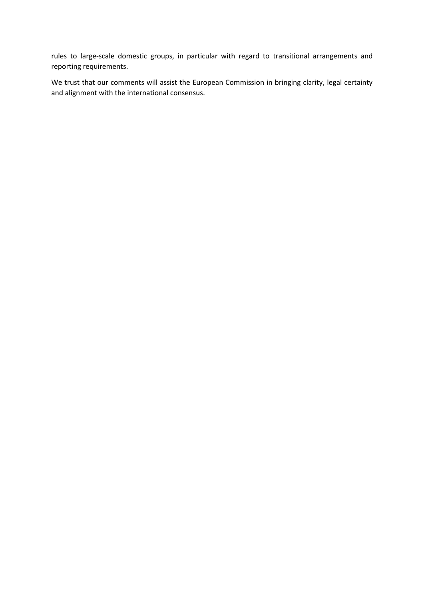rules to large-scale domestic groups, in particular with regard to transitional arrangements and reporting requirements.

We trust that our comments will assist the European Commission in bringing clarity, legal certainty and alignment with the international consensus.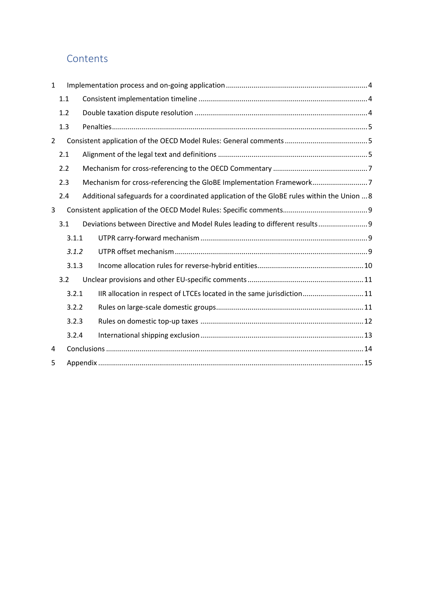## **Contents**

| $\mathbf{1}$   |       |       |                                                                                            |  |
|----------------|-------|-------|--------------------------------------------------------------------------------------------|--|
|                | 1.1   |       |                                                                                            |  |
|                | 1.2   |       |                                                                                            |  |
|                | 1.3   |       |                                                                                            |  |
| $\overline{2}$ |       |       |                                                                                            |  |
|                | 2.1   |       |                                                                                            |  |
|                | 2.2   |       |                                                                                            |  |
|                | 2.3   |       | Mechanism for cross-referencing the GloBE Implementation Framework7                        |  |
|                | 2.4   |       | Additional safeguards for a coordinated application of the GloBE rules within the Union  8 |  |
| 3              |       |       |                                                                                            |  |
|                | 3.1   |       | Deviations between Directive and Model Rules leading to different results 9                |  |
|                |       | 3.1.1 |                                                                                            |  |
|                |       | 3.1.2 |                                                                                            |  |
|                |       | 3.1.3 |                                                                                            |  |
|                | 3.2   |       |                                                                                            |  |
|                | 3.2.1 |       | IIR allocation in respect of LTCEs located in the same jurisdiction11                      |  |
|                |       | 3.2.2 |                                                                                            |  |
|                |       | 3.2.3 |                                                                                            |  |
|                |       | 3.2.4 |                                                                                            |  |
| 4              |       |       |                                                                                            |  |
| 5              |       |       |                                                                                            |  |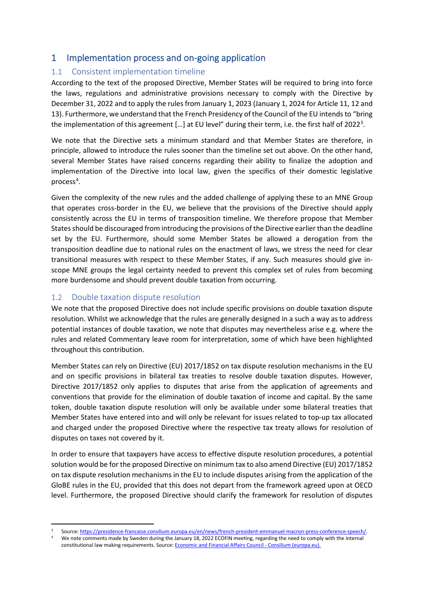## <span id="page-3-0"></span>1 Implementation process and on-going application

#### <span id="page-3-1"></span>1.1 Consistent implementation timeline

According to the text of the proposed Directive, Member States will be required to bring into force the laws, regulations and administrative provisions necessary to comply with the Directive by December 31, 2022 and to apply the rules from January 1, 2023 (January 1, 2024 for Article 11, 12 and 13). Furthermore, we understand that the French Presidency of the Council of the EU intends to "bring the implementation of this agreement [...] at EU level" during their term, i.e. the first half of 2022<sup>[3](#page-3-3)</sup>.

We note that the Directive sets a minimum standard and that Member States are therefore, in principle, allowed to introduce the rules sooner than the timeline set out above. On the other hand, several Member States have raised concerns regarding their ability to finalize the adoption and implementation of the Directive into local law, given the specifics of their domestic legislative process<sup>[4](#page-3-4)</sup>.

Given the complexity of the new rules and the added challenge of applying these to an MNE Group that operates cross-border in the EU, we believe that the provisions of the Directive should apply consistently across the EU in terms of transposition timeline. We therefore propose that Member States should be discouraged from introducing the provisions of the Directive earlier than the deadline set by the EU. Furthermore, should some Member States be allowed a derogation from the transposition deadline due to national rules on the enactment of laws, we stress the need for clear transitional measures with respect to these Member States, if any. Such measures should give inscope MNE groups the legal certainty needed to prevent this complex set of rules from becoming more burdensome and should prevent double taxation from occurring.

#### <span id="page-3-2"></span>1.2 Double taxation dispute resolution

We note that the proposed Directive does not include specific provisions on double taxation dispute resolution. Whilst we acknowledge that the rules are generally designed in a such a way as to address potential instances of double taxation, we note that disputes may nevertheless arise e.g. where the rules and related Commentary leave room for interpretation, some of which have been highlighted throughout this contribution.

Member States can rely on Directive (EU) 2017/1852 on tax dispute resolution mechanisms in the EU and on specific provisions in bilateral tax treaties to resolve double taxation disputes. However, Directive 2017/1852 only applies to disputes that arise from the application of agreements and conventions that provide for the elimination of double taxation of income and capital. By the same token, double taxation dispute resolution will only be available under some bilateral treaties that Member States have entered into and will only be relevant for issues related to top-up tax allocated and charged under the proposed Directive where the respective tax treaty allows for resolution of disputes on taxes not covered by it.

In order to ensure that taxpayers have access to effective dispute resolution procedures, a potential solution would be for the proposed Directive on minimum tax to also amend Directive (EU) 2017/1852 on tax dispute resolution mechanisms in the EU to include disputes arising from the application of the GloBE rules in the EU, provided that this does not depart from the framework agreed upon at OECD level. Furthermore, the proposed Directive should clarify the framework for resolution of disputes

<sup>3</sup> Source[: https://presidence-francaise.consilium.europa.eu/en/news/french-president-emmanuel-macron-press-conference-speech/.](https://presidence-francaise.consilium.europa.eu/en/news/french-president-emmanuel-macron-press-conference-speech/)

<span id="page-3-4"></span><span id="page-3-3"></span><sup>4</sup> We note comments made by Sweden during the January 18, 2022 ECOFIN meeting, regarding the need to comply with the internal constitutional law making requirements. Source: [Economic and Financial Affairs Council -](https://www.consilium.europa.eu/en/meetings/ecofin/2022/01/18/) Consilium (europa.eu).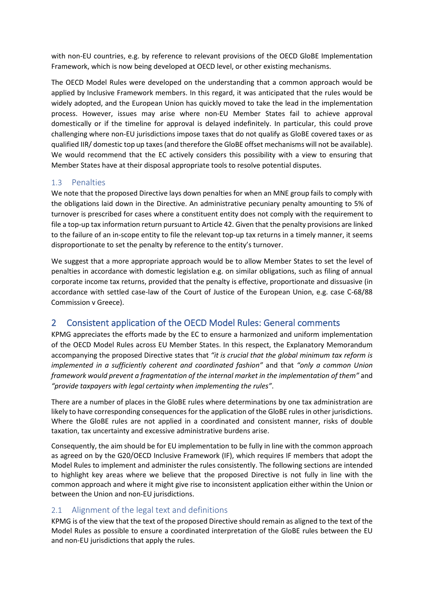with non-EU countries, e.g. by reference to relevant provisions of the OECD GloBE Implementation Framework, which is now being developed at OECD level, or other existing mechanisms.

The OECD Model Rules were developed on the understanding that a common approach would be applied by Inclusive Framework members. In this regard, it was anticipated that the rules would be widely adopted, and the European Union has quickly moved to take the lead in the implementation process. However, issues may arise where non-EU Member States fail to achieve approval domestically or if the timeline for approval is delayed indefinitely. In particular, this could prove challenging where non-EU jurisdictions impose taxes that do not qualify as GloBE covered taxes or as qualified IIR/ domestic top up taxes (and therefore the GloBE offset mechanisms will not be available). We would recommend that the EC actively considers this possibility with a view to ensuring that Member States have at their disposal appropriate tools to resolve potential disputes.

#### <span id="page-4-0"></span>1.3 Penalties

We note that the proposed Directive lays down penalties for when an MNE group fails to comply with the obligations laid down in the Directive. An administrative pecuniary penalty amounting to 5% of turnover is prescribed for cases where a constituent entity does not comply with the requirement to file a top-up tax information return pursuant to Article 42. Given that the penalty provisions are linked to the failure of an in-scope entity to file the relevant top-up tax returns in a timely manner, it seems disproportionate to set the penalty by reference to the entity's turnover.

We suggest that a more appropriate approach would be to allow Member States to set the level of penalties in accordance with domestic legislation e.g. on similar obligations, such as filing of annual corporate income tax returns, provided that the penalty is effective, proportionate and dissuasive (in accordance with settled case-law of the Court of Justice of the European Union, e.g. case C-68/88 Commission v Greece).

## <span id="page-4-1"></span>2 Consistent application of the OECD Model Rules: General comments

KPMG appreciates the efforts made by the EC to ensure a harmonized and uniform implementation of the OECD Model Rules across EU Member States. In this respect, the Explanatory Memorandum accompanying the proposed Directive states that *"it is crucial that the global minimum tax reform is implemented in a sufficiently coherent and coordinated fashion"* and that *"only a common Union framework would prevent a fragmentation of the internal market in the implementation of them"* and *"provide taxpayers with legal certainty when implementing the rules"*.

There are a number of places in the GloBE rules where determinations by one tax administration are likely to have corresponding consequences for the application of the GloBE rules in other jurisdictions. Where the GloBE rules are not applied in a coordinated and consistent manner, risks of double taxation, tax uncertainty and excessive administrative burdens arise.

Consequently, the aim should be for EU implementation to be fully in line with the common approach as agreed on by the G20/OECD Inclusive Framework (IF), which requires IF members that adopt the Model Rules to implement and administer the rules consistently. The following sections are intended to highlight key areas where we believe that the proposed Directive is not fully in line with the common approach and where it might give rise to inconsistent application either within the Union or between the Union and non-EU jurisdictions.

#### <span id="page-4-2"></span>2.1 Alignment of the legal text and definitions

KPMG is of the view that the text of the proposed Directive should remain as aligned to the text of the Model Rules as possible to ensure a coordinated interpretation of the GloBE rules between the EU and non-EU jurisdictions that apply the rules.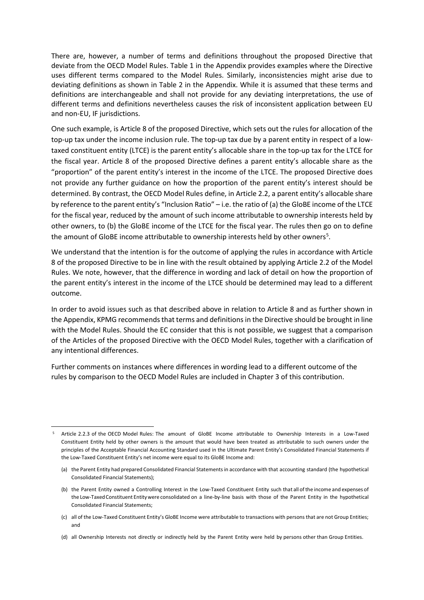There are, however, a number of terms and definitions throughout the proposed Directive that deviate from the OECD Model Rules. Table 1 in the Appendix provides examples where the Directive uses different terms compared to the Model Rules. Similarly, inconsistencies might arise due to deviating definitions as shown in Table 2 in the Appendix. While it is assumed that these terms and definitions are interchangeable and shall not provide for any deviating interpretations, the use of different terms and definitions nevertheless causes the risk of inconsistent application between EU and non-EU, IF jurisdictions.

One such example, is Article 8 of the proposed Directive, which sets out the rules for allocation of the top-up tax under the income inclusion rule. The top-up tax due by a parent entity in respect of a lowtaxed constituent entity (LTCE) is the parent entity's allocable share in the top-up tax for the LTCE for the fiscal year. Article 8 of the proposed Directive defines a parent entity's allocable share as the "proportion" of the parent entity's interest in the income of the LTCE. The proposed Directive does not provide any further guidance on how the proportion of the parent entity's interest should be determined. By contrast, the OECD Model Rules define, in Article 2.2, a parent entity's allocable share by reference to the parent entity's "Inclusion Ratio" – i.e. the ratio of (a) the GloBE income of the LTCE for the fiscal year, reduced by the amount of such income attributable to ownership interests held by other owners, to (b) the GloBE income of the LTCE for the fiscal year. The rules then go on to define the amount of GloBE income attributable to ownership interests held by other owners<sup>[5](#page-5-0)</sup>.

We understand that the intention is for the outcome of applying the rules in accordance with Article 8 of the proposed Directive to be in line with the result obtained by applying Article 2.2 of the Model Rules. We note, however, that the difference in wording and lack of detail on how the proportion of the parent entity's interest in the income of the LTCE should be determined may lead to a different outcome.

In order to avoid issues such as that described above in relation to Article 8 and as further shown in the Appendix, KPMG recommendsthat terms and definitions in the Directive should be brought in line with the Model Rules. Should the EC consider that this is not possible, we suggest that a comparison of the Articles of the proposed Directive with the OECD Model Rules, together with a clarification of any intentional differences.

Further comments on instances where differences in wording lead to a different outcome of the rules by comparison to the OECD Model Rules are included in Chapter 3 of this contribution.

<span id="page-5-0"></span><sup>5</sup> Article 2.2.3 of the OECD Model Rules: The amount of GloBE Income attributable to Ownership Interests in a Low-Taxed Constituent Entity held by other owners is the amount that would have been treated as attributable to such owners under the principles of the Acceptable Financial Accounting Standard used in the Ultimate Parent Entity's Consolidated Financial Statements if the Low-Taxed Constituent Entity's net income were equal to its GloBE Income and:

<sup>(</sup>a) the Parent Entity had prepared Consolidated Financial Statementsin accordance with that accounting standard (the hypothetical Consolidated Financial Statements);

<sup>(</sup>b) the Parent Entity owned a Controlling Interest in the Low-Taxed Constituent Entity such that all ofthe income and expenses of the Low-TaxedConstituent Entitywere consolidated on a line-by-line basis with those of the Parent Entity in the hypothetical Consolidated Financial Statements;

<sup>(</sup>c) all of the Low-Taxed Constituent Entity's GloBE Income were attributable to transactions with persons that are not Group Entities; and

<sup>(</sup>d) all Ownership Interests not directly or indirectly held by the Parent Entity were held by persons other than Group Entities.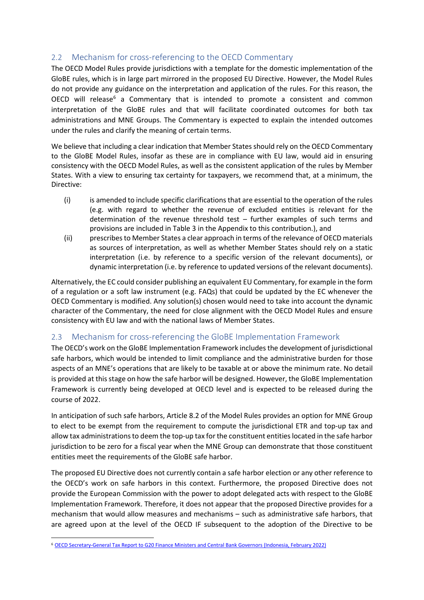#### <span id="page-6-0"></span>2.2 Mechanism for cross-referencing to the OECD Commentary

The OECD Model Rules provide jurisdictions with a template for the domestic implementation of the GloBE rules, which is in large part mirrored in the proposed EU Directive. However, the Model Rules do not provide any guidance on the interpretation and application of the rules. For this reason, the OECD will release<sup>[6](#page-6-2)</sup> a Commentary that is intended to promote a consistent and common interpretation of the GloBE rules and that will facilitate coordinated outcomes for both tax administrations and MNE Groups. The Commentary is expected to explain the intended outcomes under the rules and clarify the meaning of certain terms.

We believe that including a clear indication that Member States should rely on the OECD Commentary to the GloBE Model Rules, insofar as these are in compliance with EU law, would aid in ensuring consistency with the OECD Model Rules, as well as the consistent application of the rules by Member States. With a view to ensuring tax certainty for taxpayers, we recommend that, at a minimum, the Directive:

- (i) is amended to include specific clarifications that are essential to the operation of the rules (e.g. with regard to whether the revenue of excluded entities is relevant for the determination of the revenue threshold test – further examples of such terms and provisions are included in Table 3 in the Appendix to this contribution.), and
- (ii) prescribes to Member States a clear approach in terms of the relevance of OECD materials as sources of interpretation, as well as whether Member States should rely on a static interpretation (i.e. by reference to a specific version of the relevant documents), or dynamic interpretation (i.e. by reference to updated versions of the relevant documents).

Alternatively, the EC could consider publishing an equivalent EU Commentary, for example in the form of a regulation or a soft law instrument (e.g. FAQs) that could be updated by the EC whenever the OECD Commentary is modified. Any solution(s) chosen would need to take into account the dynamic character of the Commentary, the need for close alignment with the OECD Model Rules and ensure consistency with EU law and with the national laws of Member States.

#### <span id="page-6-1"></span>2.3 Mechanism for cross-referencing the GloBE Implementation Framework

The OECD's work on the GloBE Implementation Framework includes the development of jurisdictional safe harbors, which would be intended to limit compliance and the administrative burden for those aspects of an MNE's operations that are likely to be taxable at or above the minimum rate. No detail is provided at this stage on how the safe harbor will be designed. However, the GloBE Implementation Framework is currently being developed at OECD level and is expected to be released during the course of 2022.

In anticipation of such safe harbors, Article 8.2 of the Model Rules provides an option for MNE Group to elect to be exempt from the requirement to compute the jurisdictional ETR and top-up tax and allow tax administrations to deem the top-up tax for the constituent entities located in the safe harbor jurisdiction to be zero for a fiscal year when the MNE Group can demonstrate that those constituent entities meet the requirements of the GloBE safe harbor.

The proposed EU Directive does not currently contain a safe harbor election or any other reference to the OECD's work on safe harbors in this context. Furthermore, the proposed Directive does not provide the European Commission with the power to adopt delegated acts with respect to the GloBE Implementation Framework. Therefore, it does not appear that the proposed Directive provides for a mechanism that would allow measures and mechanisms – such as administrative safe harbors, that are agreed upon at the level of the OECD IF subsequent to the adoption of the Directive to be

<span id="page-6-2"></span><sup>6</sup> [OECD Secretary-General Tax Report to G20 Finance Ministers and Central Bank Governors \(Indonesia, February 2022\)](https://www.oecd.org/tax/beps/oecd-secretary-general-tax-report-g20-finance-ministers-indonesia-february-2022.pdf)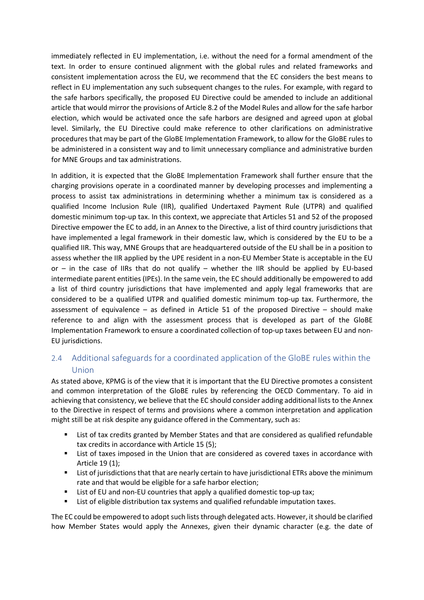immediately reflected in EU implementation, i.e. without the need for a formal amendment of the text. In order to ensure continued alignment with the global rules and related frameworks and consistent implementation across the EU, we recommend that the EC considers the best means to reflect in EU implementation any such subsequent changes to the rules. For example, with regard to the safe harbors specifically, the proposed EU Directive could be amended to include an additional article that would mirror the provisions of Article 8.2 of the Model Rules and allow for the safe harbor election, which would be activated once the safe harbors are designed and agreed upon at global level. Similarly, the EU Directive could make reference to other clarifications on administrative procedures that may be part of the GloBE Implementation Framework, to allow for the GloBE rules to be administered in a consistent way and to limit unnecessary compliance and administrative burden for MNE Groups and tax administrations.

In addition, it is expected that the GloBE Implementation Framework shall further ensure that the charging provisions operate in a coordinated manner by developing processes and implementing a process to assist tax administrations in determining whether a minimum tax is considered as a qualified Income Inclusion Rule (IIR), qualified Undertaxed Payment Rule (UTPR) and qualified domestic minimum top-up tax. In this context, we appreciate that Articles 51 and 52 of the proposed Directive empower the EC to add, in an Annex to the Directive, a list of third country jurisdictions that have implemented a legal framework in their domestic law, which is considered by the EU to be a qualified IIR. This way, MNE Groups that are headquartered outside of the EU shall be in a position to assess whether the IIR applied by the UPE resident in a non-EU Member State is acceptable in the EU or – in the case of IIRs that do not qualify – whether the IIR should be applied by EU-based intermediate parent entities (IPEs). In the same vein, the EC should additionally be empowered to add a list of third country jurisdictions that have implemented and apply legal frameworks that are considered to be a qualified UTPR and qualified domestic minimum top-up tax. Furthermore, the assessment of equivalence – as defined in Article 51 of the proposed Directive – should make reference to and align with the assessment process that is developed as part of the GloBE Implementation Framework to ensure a coordinated collection of top-up taxes between EU and non-EU jurisdictions.

## <span id="page-7-0"></span>2.4 Additional safeguards for a coordinated application of the GloBE rules within the Union

As stated above, KPMG is of the view that it is important that the EU Directive promotes a consistent and common interpretation of the GloBE rules by referencing the OECD Commentary. To aid in achieving that consistency, we believe that the EC should consider adding additional lists to the Annex to the Directive in respect of terms and provisions where a common interpretation and application might still be at risk despite any guidance offered in the Commentary, such as:

- List of tax credits granted by Member States and that are considered as qualified refundable tax credits in accordance with Article 15 (5);
- List of taxes imposed in the Union that are considered as covered taxes in accordance with Article 19 (1);
- List of jurisdictions that that are nearly certain to have jurisdictional ETRs above the minimum rate and that would be eligible for a safe harbor election;
- List of EU and non-EU countries that apply a qualified domestic top-up tax;
- **EXTE:** List of eligible distribution tax systems and qualified refundable imputation taxes.

The EC could be empowered to adopt such lists through delegated acts. However, itshould be clarified how Member States would apply the Annexes, given their dynamic character (e.g. the date of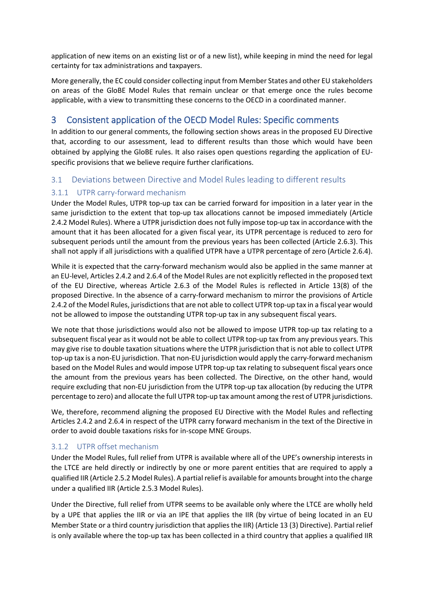application of new items on an existing list or of a new list), while keeping in mind the need for legal certainty for tax administrations and taxpayers.

More generally, the EC could consider collecting input from Member States and other EU stakeholders on areas of the GloBE Model Rules that remain unclear or that emerge once the rules become applicable, with a view to transmitting these concerns to the OECD in a coordinated manner.

## <span id="page-8-0"></span>3 Consistent application of the OECD Model Rules: Specific comments

In addition to our general comments, the following section shows areas in the proposed EU Directive that, according to our assessment, lead to different results than those which would have been obtained by applying the GloBE rules. It also raises open questions regarding the application of EUspecific provisions that we believe require further clarifications.

#### <span id="page-8-1"></span>3.1 Deviations between Directive and Model Rules leading to different results

#### <span id="page-8-2"></span>3.1.1 UTPR carry-forward mechanism

Under the Model Rules, UTPR top-up tax can be carried forward for imposition in a later year in the same jurisdiction to the extent that top-up tax allocations cannot be imposed immediately (Article 2.4.2 Model Rules). Where a UTPR jurisdiction does not fully impose top-up tax in accordance with the amount that it has been allocated for a given fiscal year, its UTPR percentage is reduced to zero for subsequent periods until the amount from the previous years has been collected (Article 2.6.3). This shall not apply if all jurisdictions with a qualified UTPR have a UTPR percentage of zero (Article 2.6.4).

While it is expected that the carry-forward mechanism would also be applied in the same manner at an EU-level, Articles 2.4.2 and 2.6.4 of the Model Rules are not explicitly reflected in the proposed text of the EU Directive, whereas Article 2.6.3 of the Model Rules is reflected in Article 13(8) of the proposed Directive. In the absence of a carry-forward mechanism to mirror the provisions of Article 2.4.2 of the Model Rules, jurisdictions that are not able to collect UTPR top-up tax in a fiscal year would not be allowed to impose the outstanding UTPR top-up tax in any subsequent fiscal years.

We note that those jurisdictions would also not be allowed to impose UTPR top-up tax relating to a subsequent fiscal year as it would not be able to collect UTPR top-up tax from any previous years. This may give rise to double taxation situations where the UTPR jurisdiction that is not able to collect UTPR top-up tax is a non-EU jurisdiction. That non-EU jurisdiction would apply the carry-forward mechanism based on the Model Rules and would impose UTPR top-up tax relating to subsequent fiscal years once the amount from the previous years has been collected. The Directive, on the other hand, would require excluding that non-EU jurisdiction from the UTPR top-up tax allocation (by reducing the UTPR percentage to zero) and allocate the full UTPR top-up tax amount among the rest of UTPR jurisdictions.

We, therefore, recommend aligning the proposed EU Directive with the Model Rules and reflecting Articles 2.4.2 and 2.6.4 in respect of the UTPR carry forward mechanism in the text of the Directive in order to avoid double taxations risks for in-scope MNE Groups.

#### <span id="page-8-3"></span>3.1.2 UTPR offset mechanism

Under the Model Rules, full relief from UTPR is available where all of the UPE's ownership interests in the LTCE are held directly or indirectly by one or more parent entities that are required to apply a qualified IIR (Article 2.5.2 Model Rules). A partial relief is available for amounts brought into the charge under a qualified IIR (Article 2.5.3 Model Rules).

Under the Directive, full relief from UTPR seems to be available only where the LTCE are wholly held by a UPE that applies the IIR or via an IPE that applies the IIR (by virtue of being located in an EU Member State or a third country jurisdiction that applies the IIR) (Article 13 (3) Directive). Partial relief is only available where the top-up tax has been collected in a third country that applies a qualified IIR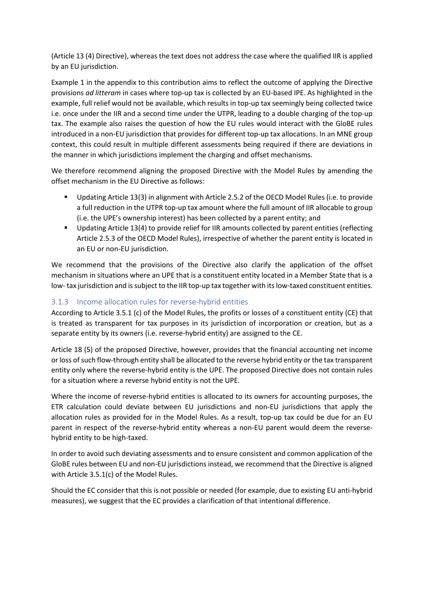(Article 13 (4) Directive), whereas the text does not address the case where the qualified IIR is applied by an EU jurisdiction.

Example 1 in the appendix to this contribution aims to reflect the outcome of applying the Directive provisions *ad litteram* in cases where top-up tax is collected by an EU-based IPE. As highlighted in the example, full relief would not be available, which results in top-up tax seemingly being collected twice i.e. once under the IIR and a second time under the UTPR, leading to a double charging of the top-up tax. The example also raises the question of how the EU rules would interact with the GloBE rules introduced in a non-EU jurisdiction that provides for different top-up tax allocations. In an MNE group context, this could result in multiple different assessments being required if there are deviations in the manner in which jurisdictions implement the charging and offset mechanisms.

We therefore recommend aligning the proposed Directive with the Model Rules by amending the offset mechanism in the EU Directive as follows:

- Updating Article 13(3) in alignment with Article 2.5.2 of the OECD Model Rules (i.e. to provide a full reduction in the UTPR top-up tax amount where the full amount of IIR allocable to group (i.e. the UPE's ownership interest) has been collected by a parent entity; and
- Updating Article 13(4) to provide relief for IIR amounts collected by parent entities (reflecting Article 2.5.3 of the OECD Model Rules), irrespective of whether the parent entity is located in an EU or non-EU jurisdiction.

We recommend that the provisions of the Directive also clarify the application of the offset mechanism in situations where an UPE that is a constituent entity located in a Member State that is a low- tax jurisdiction and is subject to the IIR top-up tax together with its low-taxed constituent entities.

#### <span id="page-9-0"></span>3.1.3 Income allocation rules for reverse-hybrid entities

According to Article 3.5.1 (c) of the Model Rules, the profits or losses of a constituent entity (CE) that is treated as transparent for tax purposes in its jurisdiction of incorporation or creation, but as a separate entity by its owners (i.e. reverse-hybrid entity) are assigned to the CE.

Article 18 (5) of the proposed Directive, however, provides that the financial accounting net income or loss of such flow-through entity shall be allocated to the reverse hybrid entity or the tax transparent entity only where the reverse-hybrid entity is the UPE. The proposed Directive does not contain rules for a situation where a reverse hybrid entity is not the UPE.

Where the income of reverse-hybrid entities is allocated to its owners for accounting purposes, the ETR calculation could deviate between EU jurisdictions and non-EU jurisdictions that apply the allocation rules as provided for in the Model Rules. As a result, top-up tax could be due for an EU parent in respect of the reverse-hybrid entity whereas a non-EU parent would deem the reversehybrid entity to be high-taxed.

In order to avoid such deviating assessments and to ensure consistent and common application of the GloBE rules between EU and non-EU jurisdictions instead, we recommend that the Directive is aligned with Article 3.5.1(c) of the Model Rules.

Should the EC consider that this is not possible or needed (for example, due to existing EU anti-hybrid measures), we suggest that the EC provides a clarification of that intentional difference.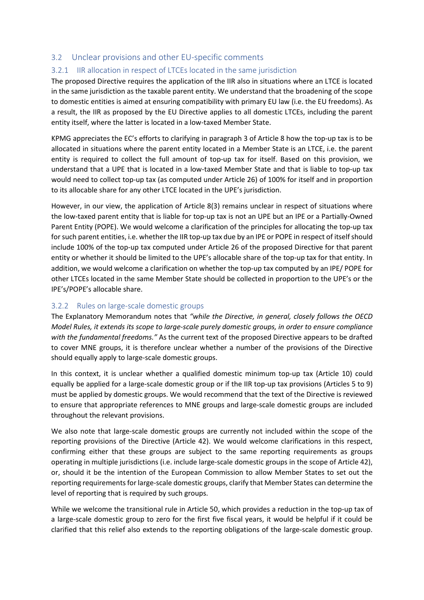#### <span id="page-10-0"></span>3.2 Unclear provisions and other EU-specific comments

#### <span id="page-10-1"></span>3.2.1 IIR allocation in respect of LTCEs located in the same jurisdiction

The proposed Directive requires the application of the IIR also in situations where an LTCE is located in the same jurisdiction as the taxable parent entity. We understand that the broadening of the scope to domestic entities is aimed at ensuring compatibility with primary EU law (i.e. the EU freedoms). As a result, the IIR as proposed by the EU Directive applies to all domestic LTCEs, including the parent entity itself, where the latter is located in a low-taxed Member State.

KPMG appreciates the EC's efforts to clarifying in paragraph 3 of Article 8 how the top-up tax is to be allocated in situations where the parent entity located in a Member State is an LTCE, i.e. the parent entity is required to collect the full amount of top-up tax for itself. Based on this provision, we understand that a UPE that is located in a low-taxed Member State and that is liable to top-up tax would need to collect top-up tax (as computed under Article 26) of 100% for itself and in proportion to its allocable share for any other LTCE located in the UPE's jurisdiction.

However, in our view, the application of Article 8(3) remains unclear in respect of situations where the low-taxed parent entity that is liable for top-up tax is not an UPE but an IPE or a Partially-Owned Parent Entity (POPE). We would welcome a clarification of the principles for allocating the top-up tax for such parent entities, i.e. whether the IIR top-up tax due by an IPE or POPE in respect of itself should include 100% of the top-up tax computed under Article 26 of the proposed Directive for that parent entity or whether it should be limited to the UPE's allocable share of the top-up tax for that entity. In addition, we would welcome a clarification on whether the top-up tax computed by an IPE/ POPE for other LTCEs located in the same Member State should be collected in proportion to the UPE's or the IPE's/POPE's allocable share.

#### <span id="page-10-2"></span>3.2.2 Rules on large-scale domestic groups

The Explanatory Memorandum notes that *"while the Directive, in general, closely follows the OECD Model Rules, it extends its scope to large-scale purely domestic groups, in order to ensure compliance with the fundamental freedoms."* As the current text of the proposed Directive appears to be drafted to cover MNE groups, it is therefore unclear whether a number of the provisions of the Directive should equally apply to large-scale domestic groups.

In this context, it is unclear whether a qualified domestic minimum top-up tax (Article 10) could equally be applied for a large-scale domestic group or if the IIR top-up tax provisions (Articles 5 to 9) must be applied by domestic groups. We would recommend that the text of the Directive is reviewed to ensure that appropriate references to MNE groups and large-scale domestic groups are included throughout the relevant provisions.

We also note that large-scale domestic groups are currently not included within the scope of the reporting provisions of the Directive (Article 42). We would welcome clarifications in this respect, confirming either that these groups are subject to the same reporting requirements as groups operating in multiple jurisdictions (i.e. include large-scale domestic groups in the scope of Article 42), or, should it be the intention of the European Commission to allow Member States to set out the reporting requirements for large-scale domestic groups, clarify that Member States can determine the level of reporting that is required by such groups.

While we welcome the transitional rule in Article 50, which provides a reduction in the top-up tax of a large-scale domestic group to zero for the first five fiscal years, it would be helpful if it could be clarified that this relief also extends to the reporting obligations of the large-scale domestic group.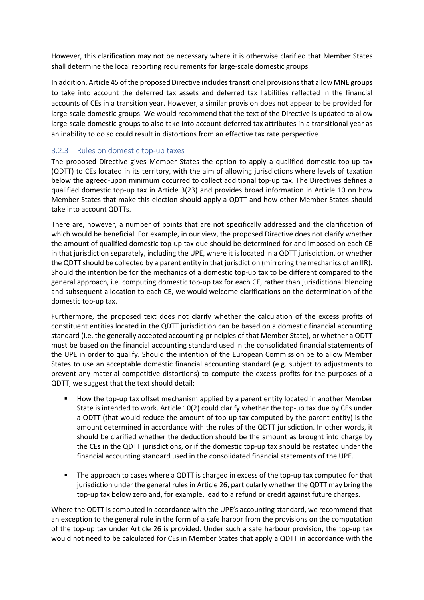However, this clarification may not be necessary where it is otherwise clarified that Member States shall determine the local reporting requirements for large-scale domestic groups.

In addition, Article 45 of the proposed Directive includes transitional provisions that allow MNE groups to take into account the deferred tax assets and deferred tax liabilities reflected in the financial accounts of CEs in a transition year. However, a similar provision does not appear to be provided for large-scale domestic groups. We would recommend that the text of the Directive is updated to allow large-scale domestic groups to also take into account deferred tax attributes in a transitional year as an inability to do so could result in distortions from an effective tax rate perspective.

#### <span id="page-11-0"></span>3.2.3 Rules on domestic top-up taxes

The proposed Directive gives Member States the option to apply a qualified domestic top-up tax (QDTT) to CEs located in its territory, with the aim of allowing jurisdictions where levels of taxation below the agreed-upon minimum occurred to collect additional top-up tax. The Directives defines a qualified domestic top-up tax in Article 3(23) and provides broad information in Article 10 on how Member States that make this election should apply a QDTT and how other Member States should take into account QDTTs.

There are, however, a number of points that are not specifically addressed and the clarification of which would be beneficial. For example, in our view, the proposed Directive does not clarify whether the amount of qualified domestic top-up tax due should be determined for and imposed on each CE in that jurisdiction separately, including the UPE, where it is located in a QDTT jurisdiction, or whether the QDTT should be collected by a parent entity in that jurisdiction (mirroring the mechanics of an IIR). Should the intention be for the mechanics of a domestic top-up tax to be different compared to the general approach, i.e. computing domestic top-up tax for each CE, rather than jurisdictional blending and subsequent allocation to each CE, we would welcome clarifications on the determination of the domestic top-up tax.

Furthermore, the proposed text does not clarify whether the calculation of the excess profits of constituent entities located in the QDTT jurisdiction can be based on a domestic financial accounting standard (i.e. the generally accepted accounting principles of that Member State), or whether a QDTT must be based on the financial accounting standard used in the consolidated financial statements of the UPE in order to qualify. Should the intention of the European Commission be to allow Member States to use an acceptable domestic financial accounting standard (e.g. subject to adjustments to prevent any material competitive distortions) to compute the excess profits for the purposes of a QDTT, we suggest that the text should detail:

- How the top-up tax offset mechanism applied by a parent entity located in another Member State is intended to work. Article 10(2) could clarify whether the top-up tax due by CEs under a QDTT (that would reduce the amount of top-up tax computed by the parent entity) is the amount determined in accordance with the rules of the QDTT jurisdiction. In other words, it should be clarified whether the deduction should be the amount as brought into charge by the CEs in the QDTT jurisdictions, or if the domestic top-up tax should be restated under the financial accounting standard used in the consolidated financial statements of the UPE.
- The approach to cases where a QDTT is charged in excess of the top-up tax computed for that jurisdiction under the general rules in Article 26, particularly whether the QDTT may bring the top-up tax below zero and, for example, lead to a refund or credit against future charges.

Where the QDTT is computed in accordance with the UPE's accounting standard, we recommend that an exception to the general rule in the form of a safe harbor from the provisions on the computation of the top-up tax under Article 26 is provided. Under such a safe harbour provision, the top-up tax would not need to be calculated for CEs in Member States that apply a QDTT in accordance with the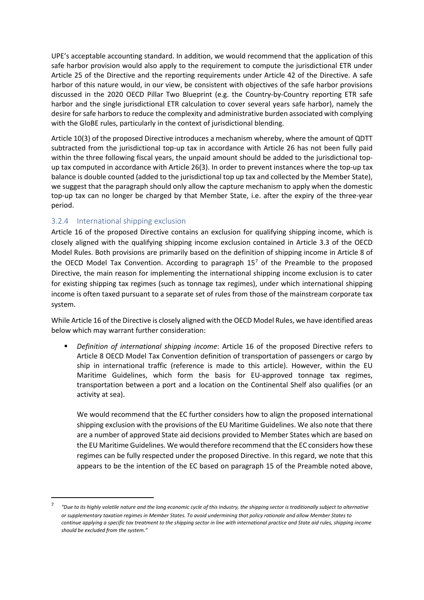UPE's acceptable accounting standard. In addition, we would recommend that the application of this safe harbor provision would also apply to the requirement to compute the jurisdictional ETR under Article 25 of the Directive and the reporting requirements under Article 42 of the Directive. A safe harbor of this nature would, in our view, be consistent with objectives of the safe harbor provisions discussed in the 2020 OECD Pillar Two Blueprint (e.g. the Country-by-Country reporting ETR safe harbor and the single jurisdictional ETR calculation to cover several years safe harbor), namely the desire for safe harbors to reduce the complexity and administrative burden associated with complying with the GloBE rules, particularly in the context of jurisdictional blending.

Article 10(3) of the proposed Directive introduces a mechanism whereby, where the amount of QDTT subtracted from the jurisdictional top-up tax in accordance with Article 26 has not been fully paid within the three following fiscal years, the unpaid amount should be added to the jurisdictional topup tax computed in accordance with Article 26(3). In order to prevent instances where the top-up tax balance is double counted (added to the jurisdictional top up tax and collected by the Member State), we suggest that the paragraph should only allow the capture mechanism to apply when the domestic top-up tax can no longer be charged by that Member State, i.e. after the expiry of the three-year period.

#### <span id="page-12-0"></span>3.2.4 International shipping exclusion

Article 16 of the proposed Directive contains an exclusion for qualifying shipping income, which is closely aligned with the qualifying shipping income exclusion contained in Article 3.3 of the OECD Model Rules. Both provisions are primarily based on the definition of shipping income in Article 8 of the OECD Model Tax Convention. According to paragraph  $15<sup>7</sup>$  $15<sup>7</sup>$  $15<sup>7</sup>$  of the Preamble to the proposed Directive, the main reason for implementing the international shipping income exclusion is to cater for existing shipping tax regimes (such as tonnage tax regimes), under which international shipping income is often taxed pursuant to a separate set of rules from those of the mainstream corporate tax system.

While Article 16 of the Directive is closely aligned with the OECD Model Rules, we have identified areas below which may warrant further consideration:

 *Definition of international shipping income*: Article 16 of the proposed Directive refers to Article 8 OECD Model Tax Convention definition of transportation of passengers or cargo by ship in international traffic (reference is made to this article). However, within the EU Maritime Guidelines, which form the basis for EU-approved tonnage tax regimes, transportation between a port and a location on the Continental Shelf also qualifies (or an activity at sea).

We would recommend that the EC further considers how to align the proposed international shipping exclusion with the provisions of the EU Maritime Guidelines. We also note that there are a number of approved State aid decisions provided to Member States which are based on the EU Maritime Guidelines. We would therefore recommend that the EC considers how these regimes can be fully respected under the proposed Directive. In this regard, we note that this appears to be the intention of the EC based on paragraph 15 of the Preamble noted above,

<span id="page-12-1"></span><sup>7</sup> *"Due to its highly volatile nature and the long economic cycle of this industry, the shipping sector is traditionally subject to alternative or supplementary taxation regimes in Member States. To avoid undermining that policy rationale and allow Member States to continue applying a specific tax treatment to the shipping sector in line with international practice and State aid rules, shipping income should be excluded from the system."*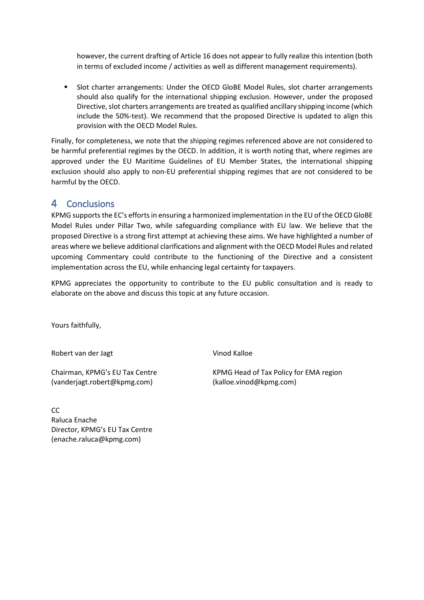however, the current drafting of Article 16 does not appear to fully realize this intention (both in terms of excluded income / activities as well as different management requirements).

 Slot charter arrangements: Under the OECD GloBE Model Rules, slot charter arrangements should also qualify for the international shipping exclusion. However, under the proposed Directive, slot charters arrangements are treated as qualified ancillary shipping income (which include the 50%-test). We recommend that the proposed Directive is updated to align this provision with the OECD Model Rules.

Finally, for completeness, we note that the shipping regimes referenced above are not considered to be harmful preferential regimes by the OECD. In addition, it is worth noting that, where regimes are approved under the EU Maritime Guidelines of EU Member States, the international shipping exclusion should also apply to non-EU preferential shipping regimes that are not considered to be harmful by the OECD.

## <span id="page-13-0"></span>4 Conclusions

KPMG supports the EC's efforts in ensuring a harmonized implementation in the EU of the OECD GloBE Model Rules under Pillar Two, while safeguarding compliance with EU law. We believe that the proposed Directive is a strong first attempt at achieving these aims. We have highlighted a number of areas where we believe additional clarifications and alignment with the OECD Model Rules and related upcoming Commentary could contribute to the functioning of the Directive and a consistent implementation across the EU, while enhancing legal certainty for taxpayers.

KPMG appreciates the opportunity to contribute to the EU public consultation and is ready to elaborate on the above and discuss this topic at any future occasion.

Yours faithfully,

Robert van der Jagt

Vinod Kalloe

Chairman, KPMG's EU Tax Centre (vanderjagt.robert@kpmg.com)

KPMG Head of Tax Policy for EMA region (kalloe.vinod@kpmg.com)

 $CC$ Raluca Enache Director, KPMG's EU Tax Centre (enache.raluca@kpmg.com)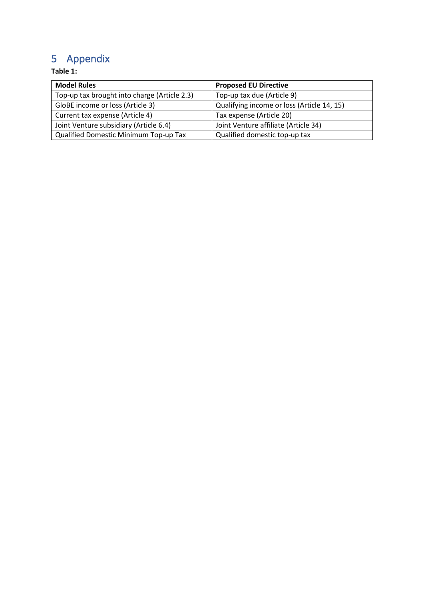# <span id="page-14-0"></span>5 Appendix

## **Table 1:**

| <b>Model Rules</b>                           | <b>Proposed EU Directive</b>               |  |
|----------------------------------------------|--------------------------------------------|--|
| Top-up tax brought into charge (Article 2.3) | Top-up tax due (Article 9)                 |  |
| GloBE income or loss (Article 3)             | Qualifying income or loss (Article 14, 15) |  |
| Current tax expense (Article 4)              | Tax expense (Article 20)                   |  |
| Joint Venture subsidiary (Article 6.4)       | Joint Venture affiliate (Article 34)       |  |
| Qualified Domestic Minimum Top-up Tax        | Qualified domestic top-up tax              |  |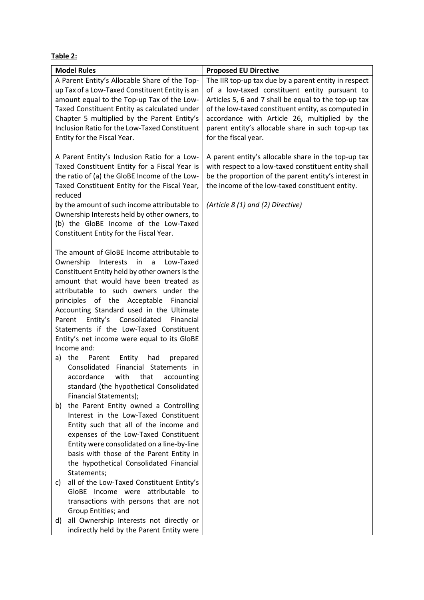**Table 2:**

| <b>Model Rules</b>                              | <b>Proposed EU Directive</b>                         |  |  |
|-------------------------------------------------|------------------------------------------------------|--|--|
| A Parent Entity's Allocable Share of the Top-   | The IIR top-up tax due by a parent entity in respect |  |  |
| up Tax of a Low-Taxed Constituent Entity is an  | of a low-taxed constituent entity pursuant to        |  |  |
| amount equal to the Top-up Tax of the Low-      | Articles 5, 6 and 7 shall be equal to the top-up tax |  |  |
| Taxed Constituent Entity as calculated under    | of the low-taxed constituent entity, as computed in  |  |  |
| Chapter 5 multiplied by the Parent Entity's     | accordance with Article 26, multiplied by the        |  |  |
| Inclusion Ratio for the Low-Taxed Constituent   | parent entity's allocable share in such top-up tax   |  |  |
| Entity for the Fiscal Year.                     | for the fiscal year.                                 |  |  |
|                                                 |                                                      |  |  |
| A Parent Entity's Inclusion Ratio for a Low-    | A parent entity's allocable share in the top-up tax  |  |  |
| Taxed Constituent Entity for a Fiscal Year is   | with respect to a low-taxed constituent entity shall |  |  |
| the ratio of (a) the GloBE Income of the Low-   | be the proportion of the parent entity's interest in |  |  |
| Taxed Constituent Entity for the Fiscal Year,   | the income of the low-taxed constituent entity.      |  |  |
| reduced                                         |                                                      |  |  |
|                                                 |                                                      |  |  |
| by the amount of such income attributable to    | (Article 8 (1) and (2) Directive)                    |  |  |
| Ownership Interests held by other owners, to    |                                                      |  |  |
| (b) the GloBE Income of the Low-Taxed           |                                                      |  |  |
| Constituent Entity for the Fiscal Year.         |                                                      |  |  |
| The amount of GloBE Income attributable to      |                                                      |  |  |
| Low-Taxed                                       |                                                      |  |  |
| Ownership<br>Interests in a                     |                                                      |  |  |
| Constituent Entity held by other owners is the  |                                                      |  |  |
| amount that would have been treated as          |                                                      |  |  |
| attributable to such owners under the           |                                                      |  |  |
| principles of the Acceptable Financial          |                                                      |  |  |
| Accounting Standard used in the Ultimate        |                                                      |  |  |
| Entity's<br>Consolidated<br>Parent<br>Financial |                                                      |  |  |
| Statements if the Low-Taxed Constituent         |                                                      |  |  |
| Entity's net income were equal to its GloBE     |                                                      |  |  |
| Income and:                                     |                                                      |  |  |
| Entity<br>a) the<br>Parent<br>had<br>prepared   |                                                      |  |  |
| Consolidated Financial Statements in            |                                                      |  |  |
| accordance<br>with<br>that<br>accounting        |                                                      |  |  |
| standard (the hypothetical Consolidated         |                                                      |  |  |
| Financial Statements);                          |                                                      |  |  |
| the Parent Entity owned a Controlling<br>b)     |                                                      |  |  |
| Interest in the Low-Taxed Constituent           |                                                      |  |  |
| Entity such that all of the income and          |                                                      |  |  |
| expenses of the Low-Taxed Constituent           |                                                      |  |  |
| Entity were consolidated on a line-by-line      |                                                      |  |  |
| basis with those of the Parent Entity in        |                                                      |  |  |
| the hypothetical Consolidated Financial         |                                                      |  |  |
| Statements;                                     |                                                      |  |  |
| all of the Low-Taxed Constituent Entity's<br>C) |                                                      |  |  |
| GloBE Income were attributable to               |                                                      |  |  |
| transactions with persons that are not          |                                                      |  |  |
| Group Entities; and                             |                                                      |  |  |
| all Ownership Interests not directly or<br>d)   |                                                      |  |  |
| indirectly held by the Parent Entity were       |                                                      |  |  |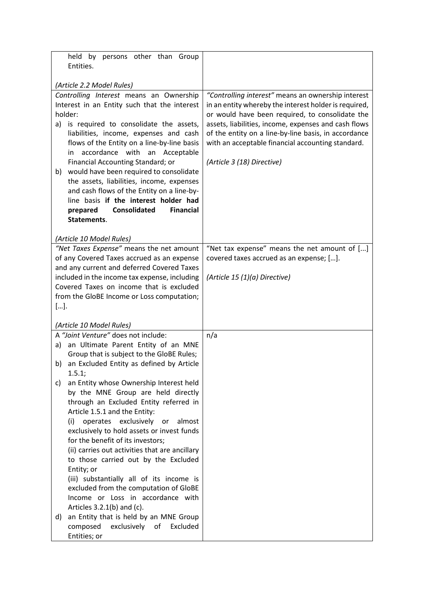| held by persons other than Group                                                                                                                                                                                                                                                                                                                                                                                                                                                                          |                                                                                                                                                                                                                                                                                                                                                                   |  |
|-----------------------------------------------------------------------------------------------------------------------------------------------------------------------------------------------------------------------------------------------------------------------------------------------------------------------------------------------------------------------------------------------------------------------------------------------------------------------------------------------------------|-------------------------------------------------------------------------------------------------------------------------------------------------------------------------------------------------------------------------------------------------------------------------------------------------------------------------------------------------------------------|--|
| Entities.                                                                                                                                                                                                                                                                                                                                                                                                                                                                                                 |                                                                                                                                                                                                                                                                                                                                                                   |  |
|                                                                                                                                                                                                                                                                                                                                                                                                                                                                                                           |                                                                                                                                                                                                                                                                                                                                                                   |  |
| (Article 2.2 Model Rules)                                                                                                                                                                                                                                                                                                                                                                                                                                                                                 |                                                                                                                                                                                                                                                                                                                                                                   |  |
| Controlling Interest means an Ownership<br>Interest in an Entity such that the interest<br>holder:<br>a) is required to consolidate the assets,<br>liabilities, income, expenses and cash<br>flows of the Entity on a line-by-line basis<br>accordance with an Acceptable<br>in<br>Financial Accounting Standard; or<br>would have been required to consolidate<br>b)<br>the assets, liabilities, income, expenses<br>and cash flows of the Entity on a line-by-<br>line basis if the interest holder had | "Controlling interest" means an ownership interest<br>in an entity whereby the interest holder is required,<br>or would have been required, to consolidate the<br>assets, liabilities, income, expenses and cash flows<br>of the entity on a line-by-line basis, in accordance<br>with an acceptable financial accounting standard.<br>(Article 3 (18) Directive) |  |
| <b>Consolidated</b><br><b>Financial</b><br>prepared<br>Statements.                                                                                                                                                                                                                                                                                                                                                                                                                                        |                                                                                                                                                                                                                                                                                                                                                                   |  |
|                                                                                                                                                                                                                                                                                                                                                                                                                                                                                                           |                                                                                                                                                                                                                                                                                                                                                                   |  |
| (Article 10 Model Rules)                                                                                                                                                                                                                                                                                                                                                                                                                                                                                  |                                                                                                                                                                                                                                                                                                                                                                   |  |
| "Net Taxes Expense" means the net amount                                                                                                                                                                                                                                                                                                                                                                                                                                                                  | "Net tax expense" means the net amount of []                                                                                                                                                                                                                                                                                                                      |  |
| of any Covered Taxes accrued as an expense                                                                                                                                                                                                                                                                                                                                                                                                                                                                | covered taxes accrued as an expense; [].                                                                                                                                                                                                                                                                                                                          |  |
| and any current and deferred Covered Taxes                                                                                                                                                                                                                                                                                                                                                                                                                                                                |                                                                                                                                                                                                                                                                                                                                                                   |  |
| included in the income tax expense, including                                                                                                                                                                                                                                                                                                                                                                                                                                                             | (Article 15 (1)(a) Directive)                                                                                                                                                                                                                                                                                                                                     |  |
| Covered Taxes on income that is excluded                                                                                                                                                                                                                                                                                                                                                                                                                                                                  |                                                                                                                                                                                                                                                                                                                                                                   |  |
| from the GloBE Income or Loss computation;                                                                                                                                                                                                                                                                                                                                                                                                                                                                |                                                                                                                                                                                                                                                                                                                                                                   |  |
| $[]$                                                                                                                                                                                                                                                                                                                                                                                                                                                                                                      |                                                                                                                                                                                                                                                                                                                                                                   |  |
| (Article 10 Model Rules)                                                                                                                                                                                                                                                                                                                                                                                                                                                                                  |                                                                                                                                                                                                                                                                                                                                                                   |  |
| A "Joint Venture" does not include:                                                                                                                                                                                                                                                                                                                                                                                                                                                                       | n/a                                                                                                                                                                                                                                                                                                                                                               |  |
| a) an Ultimate Parent Entity of an MNE                                                                                                                                                                                                                                                                                                                                                                                                                                                                    |                                                                                                                                                                                                                                                                                                                                                                   |  |
| Group that is subject to the GloBE Rules;                                                                                                                                                                                                                                                                                                                                                                                                                                                                 |                                                                                                                                                                                                                                                                                                                                                                   |  |
| an Excluded Entity as defined by Article<br>b)                                                                                                                                                                                                                                                                                                                                                                                                                                                            |                                                                                                                                                                                                                                                                                                                                                                   |  |
| 1.5.1;                                                                                                                                                                                                                                                                                                                                                                                                                                                                                                    |                                                                                                                                                                                                                                                                                                                                                                   |  |
| an Entity whose Ownership Interest held<br>C)                                                                                                                                                                                                                                                                                                                                                                                                                                                             |                                                                                                                                                                                                                                                                                                                                                                   |  |
| by the MNE Group are held directly                                                                                                                                                                                                                                                                                                                                                                                                                                                                        |                                                                                                                                                                                                                                                                                                                                                                   |  |
| through an Excluded Entity referred in<br>Article 1.5.1 and the Entity:                                                                                                                                                                                                                                                                                                                                                                                                                                   |                                                                                                                                                                                                                                                                                                                                                                   |  |
| operates exclusively or<br>(i)<br>almost                                                                                                                                                                                                                                                                                                                                                                                                                                                                  |                                                                                                                                                                                                                                                                                                                                                                   |  |
| exclusively to hold assets or invest funds                                                                                                                                                                                                                                                                                                                                                                                                                                                                |                                                                                                                                                                                                                                                                                                                                                                   |  |
| for the benefit of its investors;                                                                                                                                                                                                                                                                                                                                                                                                                                                                         |                                                                                                                                                                                                                                                                                                                                                                   |  |
| (ii) carries out activities that are ancillary                                                                                                                                                                                                                                                                                                                                                                                                                                                            |                                                                                                                                                                                                                                                                                                                                                                   |  |
| to those carried out by the Excluded                                                                                                                                                                                                                                                                                                                                                                                                                                                                      |                                                                                                                                                                                                                                                                                                                                                                   |  |
| Entity; or                                                                                                                                                                                                                                                                                                                                                                                                                                                                                                |                                                                                                                                                                                                                                                                                                                                                                   |  |
| (iii) substantially all of its income is                                                                                                                                                                                                                                                                                                                                                                                                                                                                  |                                                                                                                                                                                                                                                                                                                                                                   |  |
| excluded from the computation of GloBE<br>Income or Loss in accordance with                                                                                                                                                                                                                                                                                                                                                                                                                               |                                                                                                                                                                                                                                                                                                                                                                   |  |
| Articles $3.2.1(b)$ and (c).                                                                                                                                                                                                                                                                                                                                                                                                                                                                              |                                                                                                                                                                                                                                                                                                                                                                   |  |
| an Entity that is held by an MNE Group<br>d)                                                                                                                                                                                                                                                                                                                                                                                                                                                              |                                                                                                                                                                                                                                                                                                                                                                   |  |
| composed<br>exclusively<br>Excluded<br>of                                                                                                                                                                                                                                                                                                                                                                                                                                                                 |                                                                                                                                                                                                                                                                                                                                                                   |  |
| Entities; or                                                                                                                                                                                                                                                                                                                                                                                                                                                                                              |                                                                                                                                                                                                                                                                                                                                                                   |  |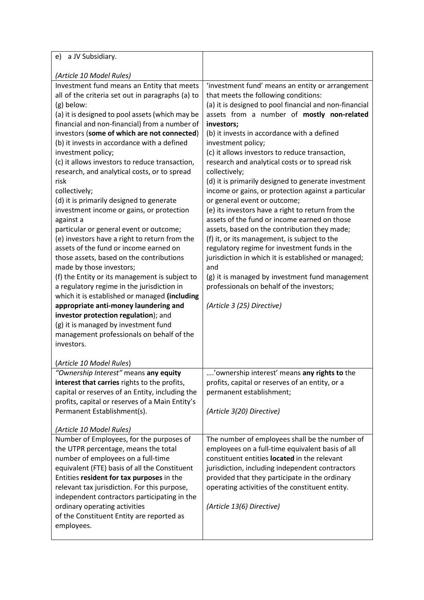| e) a JV Subsidiary.                              |                                                        |  |
|--------------------------------------------------|--------------------------------------------------------|--|
|                                                  |                                                        |  |
| (Article 10 Model Rules)                         |                                                        |  |
| Investment fund means an Entity that meets       | 'investment fund' means an entity or arrangement       |  |
| all of the criteria set out in paragraphs (a) to | that meets the following conditions:                   |  |
| (g) below:                                       | (a) it is designed to pool financial and non-financial |  |
| (a) it is designed to pool assets (which may be  | assets from a number of mostly non-related             |  |
| financial and non-financial) from a number of    | investors;                                             |  |
| investors (some of which are not connected)      | (b) it invests in accordance with a defined            |  |
| (b) it invests in accordance with a defined      | investment policy;                                     |  |
| investment policy;                               | (c) it allows investors to reduce transaction,         |  |
| (c) it allows investors to reduce transaction,   | research and analytical costs or to spread risk        |  |
| research, and analytical costs, or to spread     | collectively;                                          |  |
| risk                                             | (d) it is primarily designed to generate investment    |  |
| collectively;                                    | income or gains, or protection against a particular    |  |
| (d) it is primarily designed to generate         | or general event or outcome;                           |  |
| investment income or gains, or protection        | (e) its investors have a right to return from the      |  |
| against a                                        | assets of the fund or income earned on those           |  |
| particular or general event or outcome;          | assets, based on the contribution they made;           |  |
| (e) investors have a right to return from the    | (f) it, or its management, is subject to the           |  |
| assets of the fund or income earned on           | regulatory regime for investment funds in the          |  |
| those assets, based on the contributions         | jurisdiction in which it is established or managed;    |  |
| made by those investors;                         | and                                                    |  |
| (f) the Entity or its management is subject to   | (g) it is managed by investment fund management        |  |
| a regulatory regime in the jurisdiction in       | professionals on behalf of the investors;              |  |
| which it is established or managed (including    |                                                        |  |
| appropriate anti-money laundering and            | (Article 3 (25) Directive)                             |  |
| investor protection regulation); and             |                                                        |  |
| (g) it is managed by investment fund             |                                                        |  |
| management professionals on behalf of the        |                                                        |  |
| investors.                                       |                                                        |  |
|                                                  |                                                        |  |
| (Article 10 Model Rules)                         |                                                        |  |
| "Ownership Interest" means any equity            | 'ownership interest' means any rights to the           |  |
| interest that carries rights to the profits,     | profits, capital or reserves of an entity, or a        |  |
| capital or reserves of an Entity, including the  | permanent establishment;                               |  |
| profits, capital or reserves of a Main Entity's  |                                                        |  |
| Permanent Establishment(s).                      | (Article 3(20) Directive)                              |  |
|                                                  |                                                        |  |
| (Article 10 Model Rules)                         |                                                        |  |
| Number of Employees, for the purposes of         | The number of employees shall be the number of         |  |
| the UTPR percentage, means the total             | employees on a full-time equivalent basis of all       |  |
| number of employees on a full-time               | constituent entities located in the relevant           |  |
| equivalent (FTE) basis of all the Constituent    | jurisdiction, including independent contractors        |  |
| Entities resident for tax purposes in the        | provided that they participate in the ordinary         |  |
| relevant tax jurisdiction. For this purpose,     | operating activities of the constituent entity.        |  |
| independent contractors participating in the     |                                                        |  |
| ordinary operating activities                    | (Article 13(6) Directive)                              |  |
| of the Constituent Entity are reported as        |                                                        |  |
| employees.                                       |                                                        |  |
|                                                  |                                                        |  |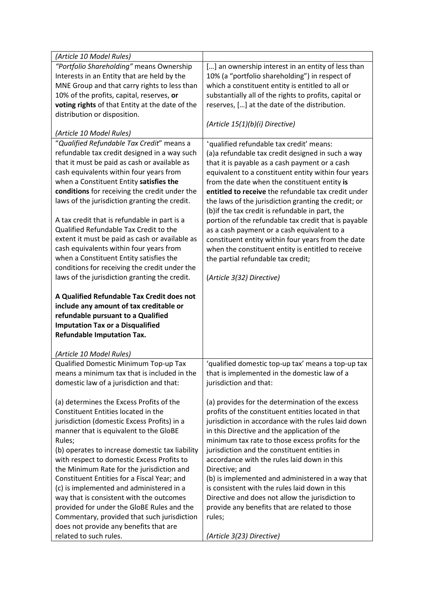| (Article 10 Model Rules)                        |                                                        |  |
|-------------------------------------------------|--------------------------------------------------------|--|
| "Portfolio Shareholding" means Ownership        | [] an ownership interest in an entity of less than     |  |
| Interests in an Entity that are held by the     | 10% (a "portfolio shareholding") in respect of         |  |
| MNE Group and that carry rights to less than    | which a constituent entity is entitled to all or       |  |
| 10% of the profits, capital, reserves, or       | substantially all of the rights to profits, capital or |  |
| voting rights of that Entity at the date of the | reserves, [] at the date of the distribution.          |  |
| distribution or disposition.                    |                                                        |  |
|                                                 | (Article 15(1)(b)(i) Directive)                        |  |
| (Article 10 Model Rules)                        |                                                        |  |
| "Qualified Refundable Tax Credit" means a       | 'qualified refundable tax credit' means:               |  |
| refundable tax credit designed in a way such    |                                                        |  |
|                                                 | (a) a refundable tax credit designed in such a way     |  |
| that it must be paid as cash or available as    | that it is payable as a cash payment or a cash         |  |
| cash equivalents within four years from         | equivalent to a constituent entity within four years   |  |
| when a Constituent Entity satisfies the         | from the date when the constituent entity is           |  |
| conditions for receiving the credit under the   | entitled to receive the refundable tax credit under    |  |
| laws of the jurisdiction granting the credit.   | the laws of the jurisdiction granting the credit; or   |  |
|                                                 | (b) if the tax credit is refundable in part, the       |  |
| A tax credit that is refundable in part is a    | portion of the refundable tax credit that is payable   |  |
| Qualified Refundable Tax Credit to the          | as a cash payment or a cash equivalent to a            |  |
| extent it must be paid as cash or available as  | constituent entity within four years from the date     |  |
| cash equivalents within four years from         | when the constituent entity is entitled to receive     |  |
| when a Constituent Entity satisfies the         | the partial refundable tax credit;                     |  |
| conditions for receiving the credit under the   |                                                        |  |
| laws of the jurisdiction granting the credit.   | (Article 3(32) Directive)                              |  |
|                                                 |                                                        |  |
| A Qualified Refundable Tax Credit does not      |                                                        |  |
| include any amount of tax creditable or         |                                                        |  |
| refundable pursuant to a Qualified              |                                                        |  |
| <b>Imputation Tax or a Disqualified</b>         |                                                        |  |
| <b>Refundable Imputation Tax.</b>               |                                                        |  |
|                                                 |                                                        |  |
| (Article 10 Model Rules)                        |                                                        |  |
| Qualified Domestic Minimum Top-up Tax           | 'qualified domestic top-up tax' means a top-up tax     |  |
| means a minimum tax that is included in the     | that is implemented in the domestic law of a           |  |
| domestic law of a jurisdiction and that:        | jurisdiction and that:                                 |  |
|                                                 |                                                        |  |
| (a) determines the Excess Profits of the        | (a) provides for the determination of the excess       |  |
| Constituent Entities located in the             | profits of the constituent entities located in that    |  |
| jurisdiction (domestic Excess Profits) in a     | jurisdiction in accordance with the rules laid down    |  |
| manner that is equivalent to the GloBE          | in this Directive and the application of the           |  |
| Rules;                                          | minimum tax rate to those excess profits for the       |  |
| (b) operates to increase domestic tax liability | jurisdiction and the constituent entities in           |  |
| with respect to domestic Excess Profits to      | accordance with the rules laid down in this            |  |
| the Minimum Rate for the jurisdiction and       | Directive; and                                         |  |
| Constituent Entities for a Fiscal Year; and     | (b) is implemented and administered in a way that      |  |
| (c) is implemented and administered in a        | is consistent with the rules laid down in this         |  |
| way that is consistent with the outcomes        | Directive and does not allow the jurisdiction to       |  |
| provided for under the GloBE Rules and the      | provide any benefits that are related to those         |  |
| Commentary, provided that such jurisdiction     | rules;                                                 |  |
| does not provide any benefits that are          |                                                        |  |
| related to such rules.                          | (Article 3(23) Directive)                              |  |
|                                                 |                                                        |  |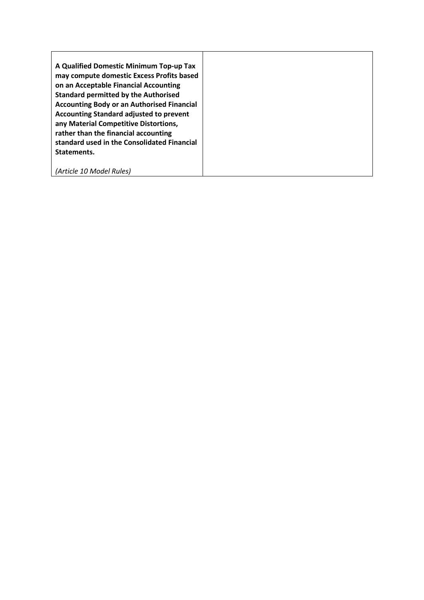| A Qualified Domestic Minimum Top-up Tax           |
|---------------------------------------------------|
| may compute domestic Excess Profits based         |
| on an Acceptable Financial Accounting             |
| <b>Standard permitted by the Authorised</b>       |
| <b>Accounting Body or an Authorised Financial</b> |
| <b>Accounting Standard adjusted to prevent</b>    |
| any Material Competitive Distortions,             |
| rather than the financial accounting              |
| standard used in the Consolidated Financial       |
| Statements.                                       |
|                                                   |
| (Article 10 Model Rules)                          |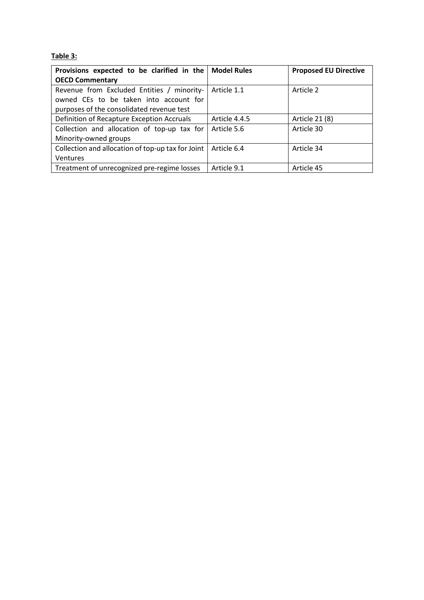#### **Table 3:**

| Provisions expected to be clarified in the        | <b>Model Rules</b> | <b>Proposed EU Directive</b> |
|---------------------------------------------------|--------------------|------------------------------|
| <b>OECD Commentary</b>                            |                    |                              |
| Revenue from Excluded Entities / minority-        | Article 1.1        | Article 2                    |
| owned CEs to be taken into account for            |                    |                              |
| purposes of the consolidated revenue test         |                    |                              |
| Definition of Recapture Exception Accruals        | Article 4.4.5      | Article 21 (8)               |
| Collection and allocation of top-up tax for       | Article 5.6        | Article 30                   |
| Minority-owned groups                             |                    |                              |
| Collection and allocation of top-up tax for Joint | Article 6.4        | Article 34                   |
| <b>Ventures</b>                                   |                    |                              |
| Treatment of unrecognized pre-regime losses       | Article 9.1        | Article 45                   |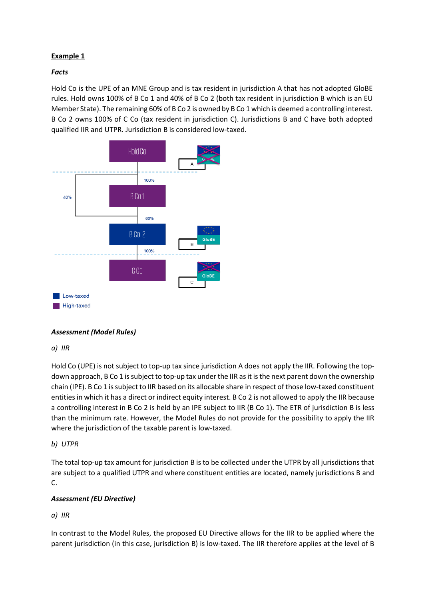#### **Example 1**

#### *Facts*

Hold Co is the UPE of an MNE Group and is tax resident in jurisdiction A that has not adopted GloBE rules. Hold owns 100% of B Co 1 and 40% of B Co 2 (both tax resident in jurisdiction B which is an EU Member State). The remaining 60% of B Co 2 is owned by B Co 1 which is deemed a controlling interest. B Co 2 owns 100% of C Co (tax resident in jurisdiction C). Jurisdictions B and C have both adopted qualified IIR and UTPR. Jurisdiction B is considered low-taxed.



#### *Assessment (Model Rules)*

#### *a) IIR*

Hold Co (UPE) is not subject to top-up tax since jurisdiction A does not apply the IIR. Following the topdown approach, B Co 1 is subject to top-up tax under the IIR as it is the next parent down the ownership chain (IPE). B Co 1 is subject to IIR based on its allocable share in respect of those low-taxed constituent entities in which it has a direct or indirect equity interest. B Co 2 is not allowed to apply the IIR because a controlling interest in B Co 2 is held by an IPE subject to IIR (B Co 1). The ETR of jurisdiction B is less than the minimum rate. However, the Model Rules do not provide for the possibility to apply the IIR where the jurisdiction of the taxable parent is low-taxed.

#### *b) UTPR*

The total top-up tax amount for jurisdiction B is to be collected under the UTPR by all jurisdictions that are subject to a qualified UTPR and where constituent entities are located, namely jurisdictions B and C.

#### *Assessment (EU Directive)*

#### *a) IIR*

In contrast to the Model Rules, the proposed EU Directive allows for the IIR to be applied where the parent jurisdiction (in this case, jurisdiction B) is low-taxed. The IIR therefore applies at the level of B